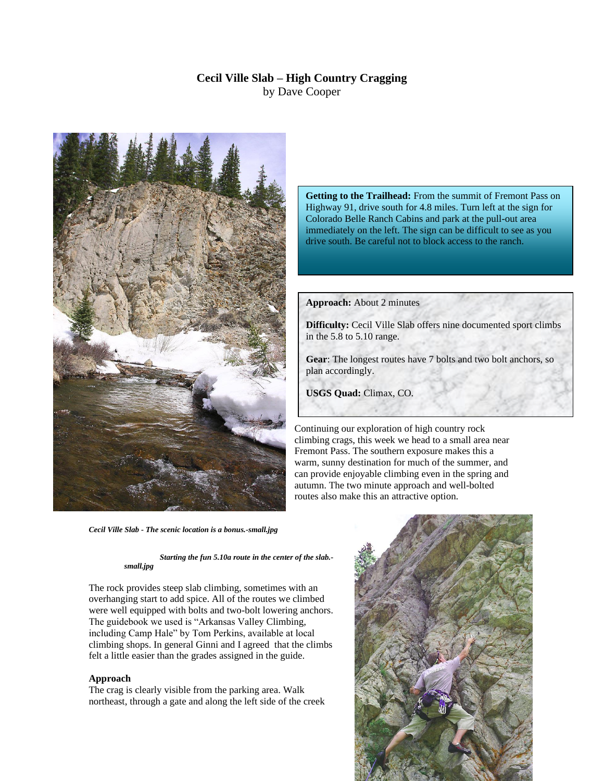## **Cecil Ville Slab – High Country Cragging** by Dave Cooper



*Cecil Ville Slab - The scenic location is a bonus.-small.jpg*

*Starting the fun 5.10a route in the center of the slab. small.jpg*

The rock provides steep slab climbing, sometimes with an overhanging start to add spice. All of the routes we climbed were well equipped with bolts and two-bolt lowering anchors. The guidebook we used is "Arkansas Valley Climbing, including Camp Hale" by Tom Perkins, available at local climbing shops. In general Ginni and I agreed that the climbs felt a little easier than the grades assigned in the guide.

## **Approach**

The crag is clearly visible from the parking area. Walk northeast, through a gate and along the left side of the creek

**Getting to the Trailhead:** From the summit of Fremont Pass on Highway 91, drive south for 4.8 miles. Turn left at the sign for Colorado Belle Ranch Cabins and park at the pull-out area immediately on the left. The sign can be difficult to see as you drive south. Be careful not to block access to the ranch.

**Approach:** About 2 minutes

**Difficulty:** Cecil Ville Slab offers nine documented sport climbs in the 5.8 to 5.10 range.

**Gear**: The longest routes have 7 bolts and two bolt anchors, so plan accordingly.

**USGS Quad:** Climax, CO.

Continuing our exploration of high country rock climbing crags, this week we head to a small area near Fremont Pass. The southern exposure makes this a warm, sunny destination for much of the summer, and can provide enjoyable climbing even in the spring and autumn. The two minute approach and well-bolted routes also make this an attractive option.

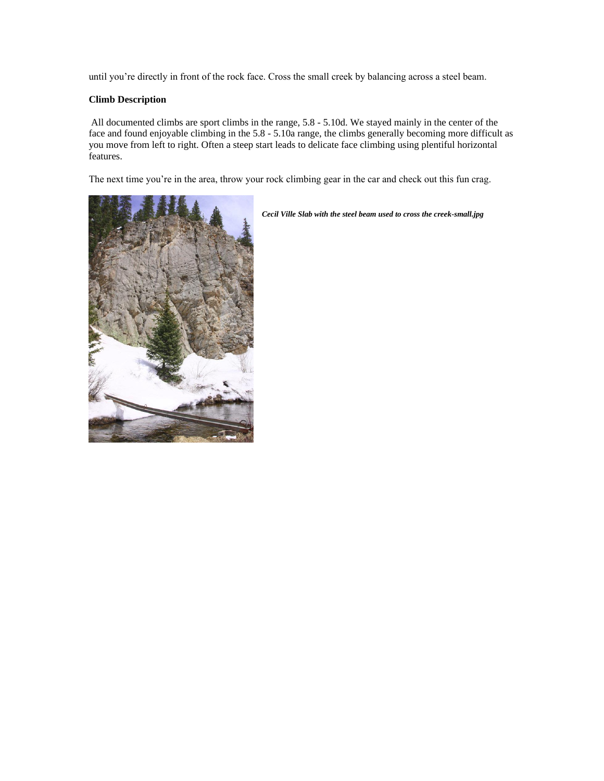until you're directly in front of the rock face. Cross the small creek by balancing across a steel beam.

## **Climb Description**

All documented climbs are sport climbs in the range, 5.8 - 5.10d. We stayed mainly in the center of the face and found enjoyable climbing in the 5.8 - 5.10a range, the climbs generally becoming more difficult as you move from left to right. Often a steep start leads to delicate face climbing using plentiful horizontal features.

The next time you're in the area, throw your rock climbing gear in the car and check out this fun crag.



*Cecil Ville Slab with the steel beam used to cross the creek-small.jpg*